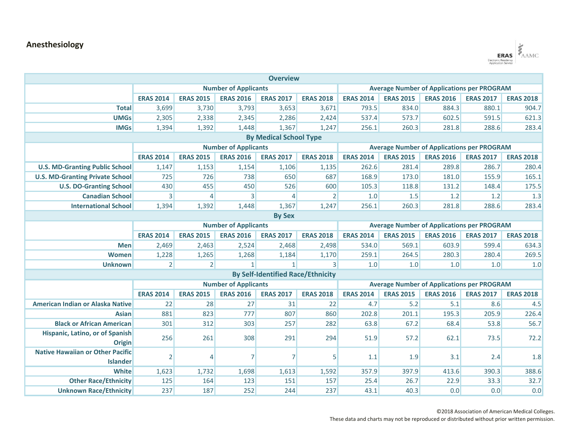## **Anesthesiology**



| <b>Overview</b>                         |                             |                             |                             |                                          |                                                   |                                                   |                  |                  |                  |                  |  |
|-----------------------------------------|-----------------------------|-----------------------------|-----------------------------|------------------------------------------|---------------------------------------------------|---------------------------------------------------|------------------|------------------|------------------|------------------|--|
|                                         | <b>Number of Applicants</b> |                             |                             |                                          | <b>Average Number of Applications per PROGRAM</b> |                                                   |                  |                  |                  |                  |  |
|                                         | <b>ERAS 2014</b>            | <b>ERAS 2015</b>            | <b>ERAS 2016</b>            | <b>ERAS 2017</b>                         | <b>ERAS 2018</b>                                  | <b>ERAS 2014</b>                                  | <b>ERAS 2015</b> | <b>ERAS 2016</b> | <b>ERAS 2017</b> | <b>ERAS 2018</b> |  |
| <b>Total</b>                            | 3,699                       | 3,730                       | 3,793                       | 3,653                                    | 3,671                                             | 793.5                                             | 834.0            | 884.3            | 880.1            | 904.7            |  |
| <b>UMGs</b>                             | 2,305                       | 2,338                       | 2,345                       | 2,286                                    | 2,424                                             | 537.4                                             | 573.7            | 602.5            | 591.5            | 621.3            |  |
| <b>IMGs</b>                             | 1,394                       | 1,392                       | 1,448                       | 1,367                                    | 1,247                                             | 256.1                                             | 260.3            | 281.8            | 288.6            | 283.4            |  |
| <b>By Medical School Type</b>           |                             |                             |                             |                                          |                                                   |                                                   |                  |                  |                  |                  |  |
|                                         |                             | <b>Number of Applicants</b> |                             |                                          |                                                   | <b>Average Number of Applications per PROGRAM</b> |                  |                  |                  |                  |  |
|                                         | <b>ERAS 2014</b>            | <b>ERAS 2015</b>            | <b>ERAS 2016</b>            | <b>ERAS 2017</b>                         | <b>ERAS 2018</b>                                  | <b>ERAS 2014</b>                                  | <b>ERAS 2015</b> | <b>ERAS 2016</b> | <b>ERAS 2017</b> | <b>ERAS 2018</b> |  |
| <b>U.S. MD-Granting Public School</b>   | 1,147                       | 1,153                       | 1,154                       | 1,106                                    | 1,135                                             | 262.6                                             | 281.4            | 289.8            | 286.7            | 280.4            |  |
| <b>U.S. MD-Granting Private School</b>  | 725                         | 726                         | 738                         | 650                                      | 687                                               | 168.9                                             | 173.0            | 181.0            | 155.9            | 165.1            |  |
| <b>U.S. DO-Granting School</b>          | 430                         | 455                         | 450                         | 526                                      | 600                                               | 105.3                                             | 118.8            | 131.2            | 148.4            | 175.5            |  |
| <b>Canadian School</b>                  | 3                           | 4                           | $\overline{3}$              | $\overline{4}$                           | $\overline{2}$                                    | 1.0                                               | 1.5              | 1.2              | 1.2              | 1.3              |  |
| <b>International School</b>             | 1,394                       | 1,392                       | 1,448                       | 1,367                                    | 1,247                                             | 256.1                                             | 260.3            | 281.8            | 288.6            | 283.4            |  |
| <b>By Sex</b>                           |                             |                             |                             |                                          |                                                   |                                                   |                  |                  |                  |                  |  |
|                                         |                             |                             | <b>Number of Applicants</b> |                                          |                                                   | <b>Average Number of Applications per PROGRAM</b> |                  |                  |                  |                  |  |
|                                         | <b>ERAS 2014</b>            | <b>ERAS 2015</b>            | <b>ERAS 2016</b>            | <b>ERAS 2017</b>                         | <b>ERAS 2018</b>                                  | <b>ERAS 2014</b>                                  | <b>ERAS 2015</b> | <b>ERAS 2016</b> | <b>ERAS 2017</b> | <b>ERAS 2018</b> |  |
| <b>Men</b>                              | 2,469                       | 2,463                       | 2,524                       | 2,468                                    | 2,498                                             | 534.0                                             | 569.1            | 603.9            | 599.4            | 634.3            |  |
| <b>Women</b>                            | 1,228                       | 1,265                       | 1,268                       | 1,184                                    | 1,170                                             | 259.1                                             | 264.5            | 280.3            | 280.4            | 269.5            |  |
| <b>Unknown</b>                          | 2                           | 2 <sup>2</sup>              | 1                           | $1\vert$                                 | $\overline{3}$                                    | 1.0                                               | 1.0              | 1.0              | 1.0              | 1.0              |  |
|                                         |                             |                             |                             | <b>By Self-Identified Race/Ethnicity</b> |                                                   |                                                   |                  |                  |                  |                  |  |
|                                         | <b>Number of Applicants</b> |                             |                             |                                          | <b>Average Number of Applications per PROGRAM</b> |                                                   |                  |                  |                  |                  |  |
|                                         | <b>ERAS 2014</b>            | <b>ERAS 2015</b>            | <b>ERAS 2016</b>            | <b>ERAS 2017</b>                         | <b>ERAS 2018</b>                                  | <b>ERAS 2014</b>                                  | <b>ERAS 2015</b> | <b>ERAS 2016</b> | <b>ERAS 2017</b> | <b>ERAS 2018</b> |  |
| American Indian or Alaska Native        | 22                          | 28                          | 27                          | 31                                       | 22                                                | 4.7                                               | 5.2              | 5.1              | 8.6              | 4.5              |  |
| <b>Asian</b>                            | 881                         | 823                         | 777                         | 807                                      | 860                                               | 202.8                                             | 201.1            | 195.3            | 205.9            | 226.4            |  |
| <b>Black or African American</b>        | 301                         | 312                         | 303                         | 257                                      | 282                                               | 63.8                                              | 67.2             | 68.4             | 53.8             | 56.7             |  |
| Hispanic, Latino, or of Spanish         | 256                         | 261                         | 308                         | 291                                      | 294                                               | 51.9                                              | 57.2             | 62.1             | 73.5             | 72.2             |  |
| <b>Origin</b>                           |                             |                             |                             |                                          |                                                   |                                                   |                  |                  |                  |                  |  |
| <b>Native Hawaiian or Other Pacific</b> | $\vert$ 2                   | 4                           | $\overline{7}$              | $\overline{7}$                           | $\vert$                                           | 1.1                                               | 1.9              | 3.1              | 2.4              | 1.8              |  |
| <b>Islander</b>                         |                             |                             |                             |                                          |                                                   |                                                   |                  |                  |                  |                  |  |
| <b>White</b>                            | 1,623                       | 1,732                       | 1,698                       | 1,613                                    | 1,592                                             | 357.9                                             | 397.9            | 413.6            | 390.3            | 388.6            |  |
| <b>Other Race/Ethnicity</b>             | 125                         | 164                         | 123                         | 151                                      | 157                                               | 25.4                                              | 26.7             | 22.9             | 33.3             | 32.7             |  |
| <b>Unknown Race/Ethnicity</b>           | 237                         | 187                         | 252                         | 244                                      | 237                                               | 43.1                                              | 40.3             | 0.0              | 0.0              | 0.0              |  |

©2018 Association of American Medical Colleges.

These data and charts may not be reproduced or distributed without prior written permission.